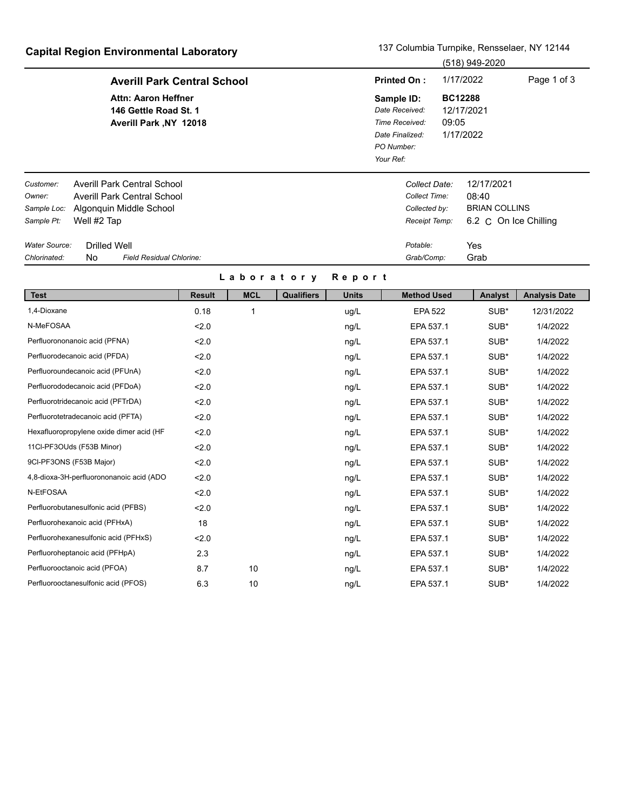## **Capital Region Environmental Laboratory** 137 Columbia Turnpike, Rensselaer, NY 12144

|                                                                               |                     | $\sim$ apitai region Environmontal Euboratory                                                       |               |            |                                                                                                                                                    |                    |                                                                  |           | (518) 949-2020                                                       |                      |
|-------------------------------------------------------------------------------|---------------------|-----------------------------------------------------------------------------------------------------|---------------|------------|----------------------------------------------------------------------------------------------------------------------------------------------------|--------------------|------------------------------------------------------------------|-----------|----------------------------------------------------------------------|----------------------|
|                                                                               |                     | <b>Averill Park Central School</b>                                                                  |               |            |                                                                                                                                                    | <b>Printed On:</b> |                                                                  | 1/17/2022 | Page 1 of 3                                                          |                      |
| <b>Attn: Aaron Heffner</b><br>146 Gettle Road St. 1<br>Averill Park, NY 12018 |                     |                                                                                                     |               |            | <b>BC12288</b><br>Sample ID:<br>12/17/2021<br>Date Received:<br>09:05<br>Time Received:<br>1/17/2022<br>Date Finalized:<br>PO Number:<br>Your Ref: |                    |                                                                  |           |                                                                      |                      |
| Customer:<br>Owner:<br>Sample Loc:<br>Sample Pt:                              | Well #2 Tap         | <b>Averill Park Central School</b><br><b>Averill Park Central School</b><br>Algonquin Middle School |               |            |                                                                                                                                                    |                    | Collect Date:<br>Collect Time:<br>Collected by:<br>Receipt Temp: |           | 12/17/2021<br>08:40<br><b>BRIAN COLLINS</b><br>6.2 C On Ice Chilling |                      |
| Water Source:                                                                 | <b>Drilled Well</b> |                                                                                                     |               |            |                                                                                                                                                    |                    | Potable:                                                         |           | Yes                                                                  |                      |
| Chlorinated:                                                                  | <b>No</b>           | Field Residual Chlorine:                                                                            |               |            |                                                                                                                                                    |                    | Grab/Comp:                                                       |           | Grab                                                                 |                      |
|                                                                               |                     |                                                                                                     |               | Laboratory |                                                                                                                                                    | Report             |                                                                  |           |                                                                      |                      |
| <b>Test</b>                                                                   |                     |                                                                                                     | <b>Result</b> | <b>MCL</b> | <b>Qualifiers</b>                                                                                                                                  | <b>Units</b>       | <b>Method Used</b>                                               |           | Analyst                                                              | <b>Analysis Date</b> |
| 1,4-Dioxane                                                                   |                     |                                                                                                     | 0.18          |            |                                                                                                                                                    | ug/L               | <b>EPA 522</b>                                                   |           | SUB*                                                                 | 12/31/2022           |
| N-MeFOSAA                                                                     |                     |                                                                                                     | 2.0           |            |                                                                                                                                                    | ng/L               | EPA 537.1                                                        |           | SUB*                                                                 | 1/4/2022             |

|                                          |     |    | $\mathbf{u} \mathbf{y} =$ |           | --   | 1171 <b>6966</b> |
|------------------------------------------|-----|----|---------------------------|-----------|------|------------------|
| Perfluorononanoic acid (PFNA)            | 2.0 |    | ng/L                      | EPA 537.1 | SUB* | 1/4/2022         |
| Perfluorodecanoic acid (PFDA)            | 2.0 |    | ng/L                      | EPA 537.1 | SUB* | 1/4/2022         |
| Perfluoroundecanoic acid (PFUnA)         | 2.0 |    | ng/L                      | EPA 537.1 | SUB* | 1/4/2022         |
| Perfluorododecanoic acid (PFDoA)         | 2.0 |    | ng/L                      | EPA 537.1 | SUB* | 1/4/2022         |
| Perfluorotridecanoic acid (PFTrDA)       | 2.0 |    | ng/L                      | EPA 537.1 | SUB* | 1/4/2022         |
| Perfluorotetradecanoic acid (PFTA)       | 2.0 |    | ng/L                      | EPA 537.1 | SUB* | 1/4/2022         |
| Hexafluoropropylene oxide dimer acid (HF | 2.0 |    | ng/L                      | EPA 537.1 | SUB* | 1/4/2022         |
| 11CI-PF3OUds (F53B Minor)                | 2.0 |    | ng/L                      | EPA 537.1 | SUB* | 1/4/2022         |
| 9CI-PF3ONS (F53B Major)                  | 2.0 |    | ng/L                      | EPA 537.1 | SUB* | 1/4/2022         |
| 4,8-dioxa-3H-perfluorononanoic acid (ADO | 2.0 |    | ng/L                      | EPA 537.1 | SUB* | 1/4/2022         |
| N-EtFOSAA                                | 2.0 |    | ng/L                      | EPA 537.1 | SUB* | 1/4/2022         |
| Perfluorobutanesulfonic acid (PFBS)      | 2.0 |    | ng/L                      | EPA 537.1 | SUB* | 1/4/2022         |
| Perfluorohexanoic acid (PFHxA)           | 18  |    | ng/L                      | EPA 537.1 | SUB* | 1/4/2022         |
| Perfluorohexanesulfonic acid (PFHxS)     | 2.0 |    | ng/L                      | EPA 537.1 | SUB* | 1/4/2022         |
| Perfluoroheptanoic acid (PFHpA)          | 2.3 |    | ng/L                      | EPA 537.1 | SUB* | 1/4/2022         |
| Perfluorooctanoic acid (PFOA)            | 8.7 | 10 | ng/L                      | EPA 537.1 | SUB* | 1/4/2022         |
| Perfluorooctanesulfonic acid (PFOS)      | 6.3 | 10 | ng/L                      | EPA 537.1 | SUB* | 1/4/2022         |
|                                          |     |    |                           |           |      |                  |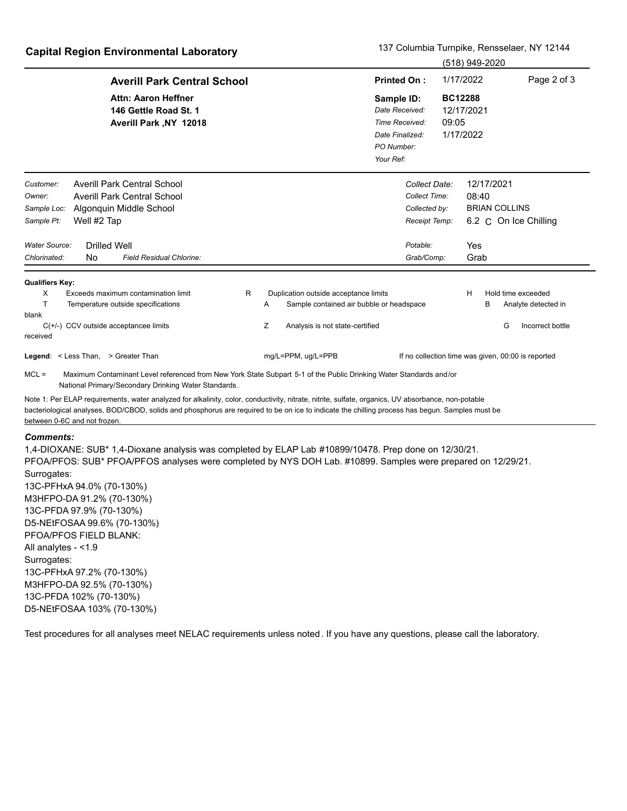### **Capital Region Environmental Laboratory** 137 Columbia Turnpike, Rensselaer, NY 12144

|                                                                                                                                                                                                                                                                                                                                       |              |                                               |                                                                                              |       |                                           | (518) 949-2020       |                                                    |
|---------------------------------------------------------------------------------------------------------------------------------------------------------------------------------------------------------------------------------------------------------------------------------------------------------------------------------------|--------------|-----------------------------------------------|----------------------------------------------------------------------------------------------|-------|-------------------------------------------|----------------------|----------------------------------------------------|
| <b>Averill Park Central School</b>                                                                                                                                                                                                                                                                                                    |              |                                               | <b>Printed On:</b>                                                                           |       | 1/17/2022                                 |                      | Page 2 of 3                                        |
| <b>Attn: Aaron Heffner</b><br>146 Gettle Road St. 1<br>Averill Park , NY 12018                                                                                                                                                                                                                                                        |              |                                               | Sample ID:<br>Date Received:<br>Time Received:<br>Date Finalized:<br>PO Number:<br>Your Ref: | 09:05 | <b>BC12288</b><br>12/17/2021<br>1/17/2022 |                      |                                                    |
| <b>Averill Park Central School</b><br>Customer:                                                                                                                                                                                                                                                                                       |              |                                               | Collect Date:                                                                                |       |                                           | 12/17/2021           |                                                    |
| Averill Park Central School<br>Owner:                                                                                                                                                                                                                                                                                                 |              |                                               | Collect Time:                                                                                |       | 08:40                                     |                      |                                                    |
| Algonquin Middle School<br>Sample Loc:                                                                                                                                                                                                                                                                                                |              |                                               | Collected by:                                                                                |       |                                           | <b>BRIAN COLLINS</b> |                                                    |
| Sample Pt:<br>Well #2 Tap                                                                                                                                                                                                                                                                                                             |              |                                               | Receipt Temp:                                                                                |       |                                           |                      | 6.2 C On Ice Chilling                              |
| Water Source:<br><b>Drilled Well</b>                                                                                                                                                                                                                                                                                                  |              |                                               | Potable:                                                                                     |       | Yes                                       |                      |                                                    |
| <b>Field Residual Chlorine:</b><br>Chlorinated:<br>No                                                                                                                                                                                                                                                                                 |              |                                               | Grab/Comp:                                                                                   |       | Grab                                      |                      |                                                    |
| <b>Qualifiers Key:</b>                                                                                                                                                                                                                                                                                                                |              |                                               |                                                                                              |       |                                           |                      |                                                    |
| Exceeds maximum contamination limit<br>X                                                                                                                                                                                                                                                                                              | $\mathsf{R}$ | Duplication outside acceptance limits         |                                                                                              |       | H                                         |                      | Hold time exceeded                                 |
| T<br>Temperature outside specifications<br>blank                                                                                                                                                                                                                                                                                      |              | Sample contained air bubble or headspace<br>A |                                                                                              |       |                                           | в                    | Analyte detected in                                |
| $C(+/-)$ CCV outside acceptancee limits<br>received                                                                                                                                                                                                                                                                                   |              | Ζ<br>Analysis is not state-certified          |                                                                                              |       |                                           | G                    | Incorrect bottle                                   |
| Legend: < Less Than, > Greater Than                                                                                                                                                                                                                                                                                                   |              | mg/L=PPM, ug/L=PPB                            |                                                                                              |       |                                           |                      | If no collection time was given, 00:00 is reported |
| $MCL =$<br>Maximum Contaminant Level referenced from New York State Subpart 5-1 of the Public Drinking Water Standards and/or<br>National Primary/Secondary Drinking Water Standards.                                                                                                                                                 |              |                                               |                                                                                              |       |                                           |                      |                                                    |
| Note 1: Per ELAP requirements, water analyzed for alkalinity, color, conductivity, nitrate, nitrite, sulfate, organics, UV absorbance, non-potable<br>bacteriological analyses, BOD/CBOD, solids and phosphorus are reguired to be on ice to indicate the chilling process has begun. Samples must be<br>between 0-6C and not frozen. |              |                                               |                                                                                              |       |                                           |                      |                                                    |

#### *Comments:*

1,4-DIOXANE: SUB\* 1,4-Dioxane analysis was completed by ELAP Lab #10899/10478. Prep done on 12/30/21. PFOA/PFOS: SUB\* PFOA/PFOS analyses were completed by NYS DOH Lab. #10899. Samples were prepared on 12/29/21. Surrogates: 13C-PFHxA 94.0% (70-130%) M3HFPO-DA 91.2% (70-130%) 13C-PFDA 97.9% (70-130%) D5-NEtFOSAA 99.6% (70-130%) PFOA/PFOS FIELD BLANK: All analytes - <1.9 Surrogates: 13C-PFHxA 97.2% (70-130%) M3HFPO-DA 92.5% (70-130%) 13C-PFDA 102% (70-130%) D5-NEtFOSAA 103% (70-130%)

Test procedures for all analyses meet NELAC requirements unless noted. If you have any questions, please call the laboratory.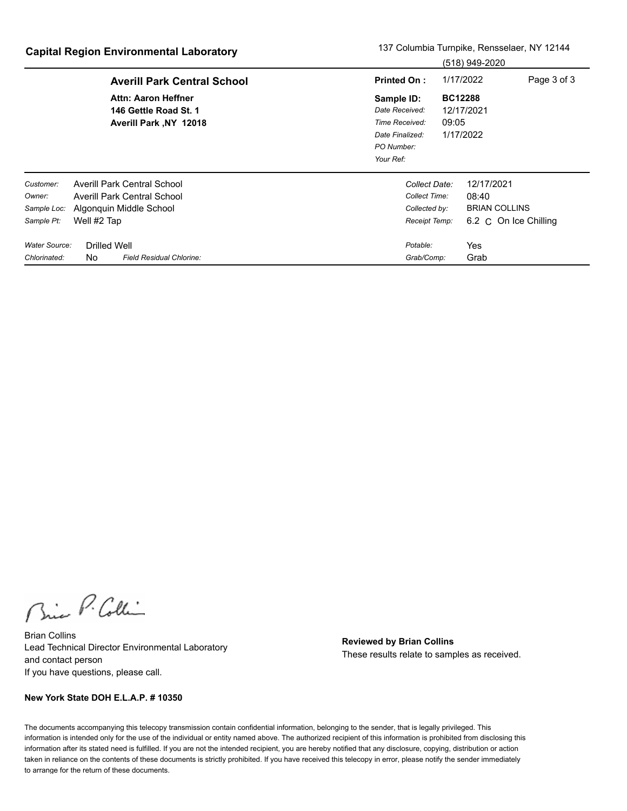|                                                  |                     | $ \frac{1}{2}$ $\frac{1}{2}$ $\frac{1}{2}$ $\frac{1}{2}$ $\frac{1}{2}$ $\frac{1}{2}$ $\frac{1}{2}$ $\frac{1}{2}$ $\frac{1}{2}$ $\frac{1}{2}$ $\frac{1}{2}$ $\frac{1}{2}$ $\frac{1}{2}$ $\frac{1}{2}$ $\frac{1}{2}$ $\frac{1}{2}$ $\frac{1}{2}$ $\frac{1}{2}$ $\frac{1}{2}$ $\frac{1}{2}$ $\frac{1}{2}$ $\frac{1}{2$ |                                                                                              |                         | (518) 949-2020                                                       |             |
|--------------------------------------------------|---------------------|---------------------------------------------------------------------------------------------------------------------------------------------------------------------------------------------------------------------------------------------------------------------------------------------------------------------|----------------------------------------------------------------------------------------------|-------------------------|----------------------------------------------------------------------|-------------|
|                                                  |                     | <b>Averill Park Central School</b>                                                                                                                                                                                                                                                                                  | <b>Printed On:</b>                                                                           |                         | 1/17/2022                                                            | Page 3 of 3 |
|                                                  |                     | Attn: Aaron Heffner<br>146 Gettle Road St. 1<br>Averill Park, NY 12018                                                                                                                                                                                                                                              | Sample ID:<br>Date Received:<br>Time Received:<br>Date Finalized:<br>PO Number:<br>Your Ref: | <b>BC12288</b><br>09:05 | 12/17/2021<br>1/17/2022                                              |             |
| Customer:<br>Owner:<br>Sample Loc:<br>Sample Pt: | Well #2 Tap         | Averill Park Central School<br><b>Averill Park Central School</b><br>Algonquin Middle School                                                                                                                                                                                                                        | Collect Date:<br>Collect Time:<br>Collected by:<br>Receipt Temp:                             |                         | 12/17/2021<br>08:40<br><b>BRIAN COLLINS</b><br>6.2 C On Ice Chilling |             |
| Water Source:<br>Chlorinated:                    | Drilled Well<br>No. | Field Residual Chlorine:                                                                                                                                                                                                                                                                                            | Potable:<br>Grab/Comp:                                                                       |                         | Yes<br>Grab                                                          |             |

Bric P. Collin

Brian Collins Lead Technical Director Environmental Laboratory and contact person If you have questions, please call.

**Reviewed by Brian Collins** These results relate to samples as received.

#### **New York State DOH E.L.A.P. # 10350**

The documents accompanying this telecopy transmission contain confidential information, belonging to the sender, that is legally privileged. This information is intended only for the use of the individual or entity named above. The authorized recipient of this information is prohibited from disclosing this information after its stated need is fulfilled. If you are not the intended recipient, you are hereby notified that any disclosure, copying, distribution or action taken in reliance on the contents of these documents is strictly prohibited. If you have received this telecopy in error, please notify the sender immediately to arrange for the return of these documents.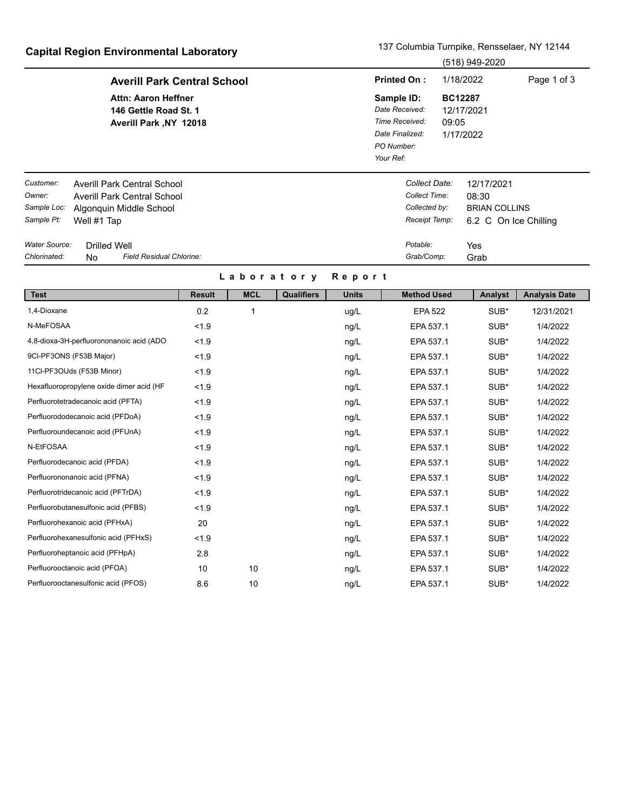# **Capital Region Environmental Laboratory** 137 Columbia Turnpike, Rensselaer, NY 12144

|                                                  | Capital Region Environmental Laboratory                                                              | (518) 949-2020                                                                               |                                                                      |  |  |  |
|--------------------------------------------------|------------------------------------------------------------------------------------------------------|----------------------------------------------------------------------------------------------|----------------------------------------------------------------------|--|--|--|
|                                                  | <b>Averill Park Central School</b>                                                                   | <b>Printed On:</b>                                                                           | 1/18/2022<br>Page 1 of 3                                             |  |  |  |
|                                                  | <b>Attn: Aaron Heffner</b><br>146 Gettle Road St. 1<br>Averill Park , NY 12018                       | Sample ID:<br>Date Received:<br>Time Received:<br>Date Finalized:<br>PO Number:<br>Your Ref: | <b>BC12287</b><br>12/17/2021<br>09:05<br>1/17/2022                   |  |  |  |
| Customer:<br>Owner:<br>Sample Loc:<br>Sample Pt: | Averill Park Central School<br>Averill Park Central School<br>Algonguin Middle School<br>Well #1 Tap | Collect Date:<br>Collect Time:<br>Collected by:<br>Receipt Temp:                             | 12/17/2021<br>08:30<br><b>BRIAN COLLINS</b><br>6.2 C On Ice Chilling |  |  |  |
| Water Source:<br>Chlorinated:                    | <b>Drilled Well</b><br>Field Residual Chlorine:<br>No.                                               | Potable:<br>Grab/Comp:                                                                       | Yes<br>Grab                                                          |  |  |  |

### **L a b o r a t o r y R e p o r t**

| <b>Test</b>                              | <b>Result</b> | <b>MCL</b> | <b>Qualifiers</b> | <b>Units</b> | <b>Method Used</b> | Analyst | <b>Analysis Date</b> |
|------------------------------------------|---------------|------------|-------------------|--------------|--------------------|---------|----------------------|
| 1,4-Dioxane                              | 0.2           |            |                   | ug/L         | <b>EPA 522</b>     | SUB*    | 12/31/2021           |
| N-MeFOSAA                                | < 1.9         |            |                   | ng/L         | EPA 537.1          | SUB*    | 1/4/2022             |
| 4,8-dioxa-3H-perfluorononanoic acid (ADO | < 1.9         |            |                   | ng/L         | EPA 537.1          | SUB*    | 1/4/2022             |
| 9CI-PF3ONS (F53B Major)                  | < 1.9         |            |                   | ng/L         | EPA 537.1          | SUB*    | 1/4/2022             |
| 11Cl-PF3OUds (F53B Minor)                | < 1.9         |            |                   | ng/L         | EPA 537.1          | SUB*    | 1/4/2022             |
| Hexafluoropropylene oxide dimer acid (HF | < 1.9         |            |                   | ng/L         | EPA 537.1          | SUB*    | 1/4/2022             |
| Perfluorotetradecanoic acid (PFTA)       | < 1.9         |            |                   | ng/L         | EPA 537.1          | SUB*    | 1/4/2022             |
| Perfluorododecanoic acid (PFDoA)         | < 1.9         |            |                   | ng/L         | EPA 537.1          | SUB*    | 1/4/2022             |
| Perfluoroundecanoic acid (PFUnA)         | < 1.9         |            |                   | ng/L         | EPA 537.1          | SUB*    | 1/4/2022             |
| N-EtFOSAA                                | < 1.9         |            |                   | ng/L         | EPA 537.1          | SUB*    | 1/4/2022             |
| Perfluorodecanoic acid (PFDA)            | < 1.9         |            |                   | ng/L         | EPA 537.1          | SUB*    | 1/4/2022             |
| Perfluorononanoic acid (PFNA)            | < 1.9         |            |                   | ng/L         | EPA 537.1          | SUB*    | 1/4/2022             |
| Perfluorotridecanoic acid (PFTrDA)       | < 1.9         |            |                   | ng/L         | EPA 537.1          | SUB*    | 1/4/2022             |
| Perfluorobutanesulfonic acid (PFBS)      | < 1.9         |            |                   | ng/L         | EPA 537.1          | SUB*    | 1/4/2022             |
| Perfluorohexanoic acid (PFHxA)           | 20            |            |                   | ng/L         | EPA 537.1          | SUB*    | 1/4/2022             |
| Perfluorohexanesulfonic acid (PFHxS)     | < 1.9         |            |                   | ng/L         | EPA 537.1          | SUB*    | 1/4/2022             |
| Perfluoroheptanoic acid (PFHpA)          | 2.8           |            |                   | ng/L         | EPA 537.1          | SUB*    | 1/4/2022             |
| Perfluorooctanoic acid (PFOA)            | 10            | 10         |                   | ng/L         | EPA 537.1          | SUB*    | 1/4/2022             |
| Perfluorooctanesulfonic acid (PFOS)      | 8.6           | 10         |                   | ng/L         | EPA 537.1          | SUB*    | 1/4/2022             |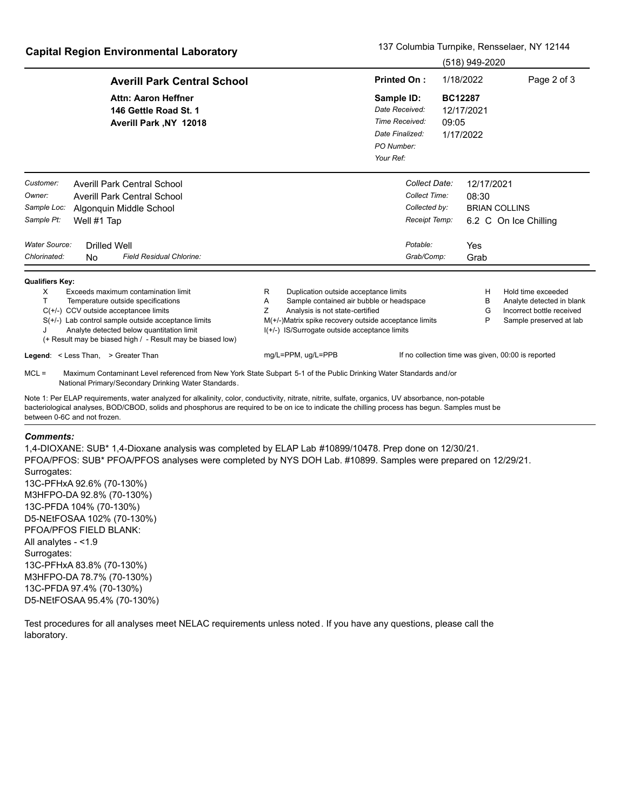|                                                                                                                                                                                                                                                                                                                              |                                                                                                                                                                                                                                                |                                                                                              | (518) 949-2020                                     |                                                                                                         |
|------------------------------------------------------------------------------------------------------------------------------------------------------------------------------------------------------------------------------------------------------------------------------------------------------------------------------|------------------------------------------------------------------------------------------------------------------------------------------------------------------------------------------------------------------------------------------------|----------------------------------------------------------------------------------------------|----------------------------------------------------|---------------------------------------------------------------------------------------------------------|
| <b>Averill Park Central School</b>                                                                                                                                                                                                                                                                                           |                                                                                                                                                                                                                                                | <b>Printed On:</b>                                                                           | 1/18/2022                                          | Page 2 of 3                                                                                             |
| <b>Attn: Aaron Heffner</b><br>146 Gettle Road St. 1<br>Averill Park , NY 12018                                                                                                                                                                                                                                               |                                                                                                                                                                                                                                                | Sample ID:<br>Date Received:<br>Time Received:<br>Date Finalized:<br>PO Number:<br>Your Ref: | <b>BC12287</b><br>12/17/2021<br>09:05<br>1/17/2022 |                                                                                                         |
| Customer:<br><b>Averill Park Central School</b><br>Owner:<br><b>Averill Park Central School</b><br>Sample Loc:<br>Algonguin Middle School<br>Sample Pt:<br>Well #1 Tap                                                                                                                                                       |                                                                                                                                                                                                                                                | Collect Date:<br>Collect Time:<br>Collected by:<br>Receipt Temp:                             | 12/17/2021<br>08:30                                | <b>BRIAN COLLINS</b><br>6.2 C On Ice Chilling                                                           |
| Water Source:<br><b>Drilled Well</b><br>Chlorinated:<br>Field Residual Chlorine:<br>No.                                                                                                                                                                                                                                      |                                                                                                                                                                                                                                                | Potable:<br>Grab/Comp:                                                                       | Yes<br>Grab                                        |                                                                                                         |
| <b>Qualifiers Key:</b><br>Exceeds maximum contamination limit<br>X<br>т<br>Temperature outside specifications<br>$C(+/-)$ CCV outside acceptancee limits<br>$S(+/-)$ Lab control sample outside acceptance limits<br>Analyte detected below quantitation limit<br>(+ Result may be biased high / - Result may be biased low) | Duplication outside acceptance limits<br>R.<br>A<br>Sample contained air bubble or headspace<br>Z<br>Analysis is not state-certified<br>M(+/-)Matrix spike recovery outside acceptance limits<br>I(+/-) IS/Surrogate outside acceptance limits |                                                                                              | н<br>в<br>G<br>P                                   | Hold time exceeded<br>Analyte detected in blank<br>Incorrect bottle received<br>Sample preserved at lab |
| Legend: < Less Than, > Greater Than                                                                                                                                                                                                                                                                                          | mg/L=PPM, ug/L=PPB                                                                                                                                                                                                                             |                                                                                              |                                                    | If no collection time was given, 00:00 is reported                                                      |
| $MCL =$<br>Maximum Contaminant Level referenced from New York State Subpart 5-1 of the Public Drinking Water Standards and/or<br>National Primary/Secondary Drinking Water Standards.                                                                                                                                        |                                                                                                                                                                                                                                                |                                                                                              |                                                    |                                                                                                         |
| Note 1: Per ELAP requirements, water analyzed for alkalinity, color, conductivity, nitrate, nitrite, sulfate, organics, UV absorbance, non-potable                                                                                                                                                                           |                                                                                                                                                                                                                                                |                                                                                              |                                                    |                                                                                                         |

bacteriological analyses, BOD/CBOD, solids and phosphorus are required to be on ice to indicate the chilling process has begun. Samples must be between 0-6C and not frozen.

#### *Comments:*

1,4-DIOXANE: SUB\* 1,4-Dioxane analysis was completed by ELAP Lab #10899/10478. Prep done on 12/30/21. PFOA/PFOS: SUB\* PFOA/PFOS analyses were completed by NYS DOH Lab. #10899. Samples were prepared on 12/29/21. Surrogates: 13C-PFHxA 92.6% (70-130%) M3HFPO-DA 92.8% (70-130%) 13C-PFDA 104% (70-130%) D5-NEtFOSAA 102% (70-130%) PFOA/PFOS FIELD BLANK: All analytes - <1.9 Surrogates: 13C-PFHxA 83.8% (70-130%) M3HFPO-DA 78.7% (70-130%) 13C-PFDA 97.4% (70-130%) D5-NEtFOSAA 95.4% (70-130%)

Test procedures for all analyses meet NELAC requirements unless noted. If you have any questions, please call the laboratory.